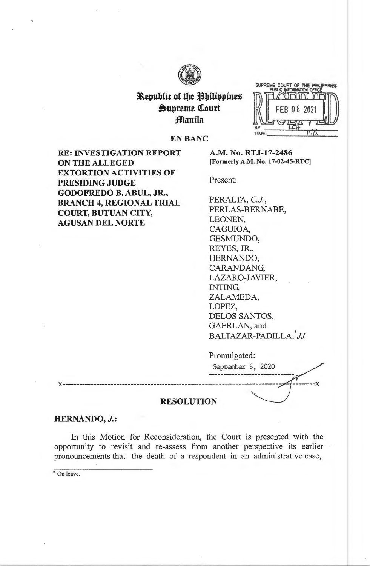

# **Republic of the Philippines**  $\mathfrak{S}$ upreme Court *<u>flanila</u>*



**EN BANC** 

**RE: INVESTIGATION REPORT ON THE ALLEGED EXTORTION ACTIVITIES OF PRESIDING JUDGE GODOFREDO B. ABUL, JR., BRANCH 4, REGIONAL TRIAL COURT, BUTUAN CITY, AGUSAN DEL NORTE** 

**A.M. No. RTJ-17-2486 [Formerly A.M. No. 17-02-45-RTC]** 

Present:

PERALTA, C.J., PERLAS-BERNABE, LEONEN, CAGUIOA, GESMUNDO, REYES, JR., HERNANDO, CARANDANG, LAZARO-JAVIER, INTING, ZALAMEDA, LOPEZ, DELOS SANTOS, GAERLAN, and \* BALTAZAR-PADILLA, *JJ.* 

Promulgated: September 8, 2020 **x-------------------------------------------,** --------------------------------- **RESOLUTION** 

# **HERNANDO, J.:**

In this Motion for Reconsideration, the Court is presented with the opportunity to revisit and re-assess from another perspective its earlier pronouncements that the death of a respondent in an administrative case,

\* On leave.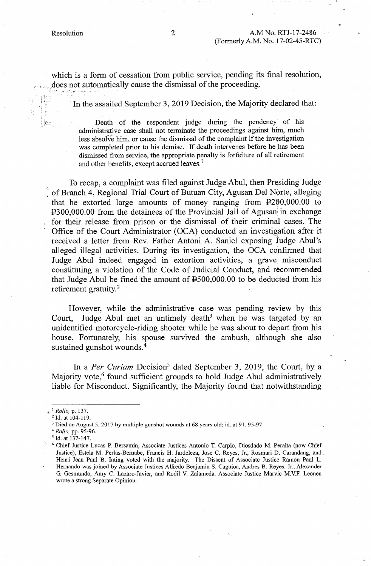,,' I ~ i,

t

which is a form of cessation from public service, pending its final resolution, does not automatically cause the dismissal of the proceeding.

In the assailed September 3, 2019 Decision, the Majority declared that:

Death of the respondent judge during the pendency of his administrative case shall not terminate the proceedings against him, much less absolv'e him, or cause the dismissal of the complaint if the investigation was completed prior to his demise. If death intervenes before he has been dismissed from service, the appropriate penalty is forfeiture of all retirement and other benefits, except accrued leaves.<sup>1</sup>

To recap, a complaint was filed against Judge Abul, then Presiding Judge of Branch 4, Regional Trial Court of Butuan City, Agusan Del Norte, alleging that he extorted large amounts of money ranging from P200,000.00 to P300,000.00 from the detainees of the Provincial Jail of Agusan in exchange· for their release from prison or the dismissal of their criminal cases. The Office of the Court Administrator (OCA) conducted an investigation after it received a letter from Rev. Father Antoni A. Saniel exposing Judge Abul's alleged illegal activities. During its investigation, the OCA confirmed that Judge Abul indeed engaged in extortion activities, a grave misconduct constituting a violation of the Code of Judicial Conduct, and recommended that Judge Abul be fined the amount of  $4500,000.00$  to be deducted from his retirement gratuity.<sup>2</sup>

However, while the administrative case was pending review by this Court, Judge Abul met an untimely death<sup>3</sup> when he was targeted by an unidentified motorcycle-riding shooter while he was about to depart from his house. Fortunately, his spouse survived the ambush, although she also sustained gunshot wounds.<sup>4</sup>

In a *Per Curiam* Decision<sup>5</sup> dated September 3, 2019, the Court, by a Majority vote, $6$  found sufficient grounds to hold Judge Abul administratively liable for Misconduct. Significantly, the Majority found that notwithstanding

<sup>&</sup>lt;sup>1</sup> *Rollo*, p. 137.<br><sup>2</sup> Id. at 104-119.

 $3$  Died on August 5, 2017 by multiple gunshot wounds at 68 years old; id. at 91, 95-97.

<sup>4</sup>*Rollo,* pp. 95-96.

*<sup>5</sup>*Id. at 137-147.

<sup>&</sup>lt;sup>6</sup> Chief Justice Lucas P. Bersamin, Associate Justices Antonio T. Carpio, Diosdado M. Peralta (now Chief Justice), Estela M. Perlas-Bernabe, Francis H. Jardeleza, Jose C. Reyes, Jr., Rosmari D. Carandang, and. Henri Jean Paul B. Inting voted with the majority. The Dissent of Associate Justice Ramon Paul L. Hernando was joined by Associate Justices Alfredo Benjamin S. Caguioa, Andres B. Reyes, Jr., Alexander G. Gesmundo, Amy C. Lazaro-Javier, and Rodil V. Zalameda. Associate Justice Marvic M.V.F. Leonen wrote a strong Separate Opinion.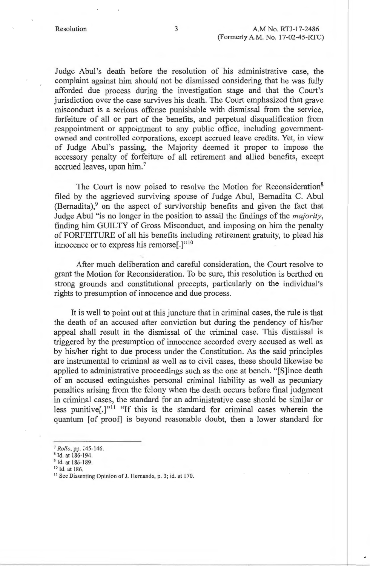Judge Abul's death before the resolution of his administrative case, the complaint against him should not be dismissed considering that he was fully afforded due process during the investigation stage and that the Court's jurisdiction over the case survives his death. The Court emphasized that grave misconduct is a serious offense punishable with dismissal from the service, forfeiture of all or part of the benefits, and perpetual disqualification from reappointment or appointment to any public office, including governmentowned and controlled corporations, except accrued leave credits. Yet, in view of Judge Abul's passing, the Majority deemed it proper to impose the accessory penalty of forfeiture of all retirement and allied benefits, except accrued leaves, upon him. <sup>7</sup>

The Court is now poised to resolve the Motion for Reconsideration<sup>8</sup> filed by the aggrieved surviving spouse of Judge Abul, Bemadita C. Abul (Bernadita), $9$  on the aspect of survivorship benefits and given the fact that Judge Abul "is no longer in the position to assail the findings of the *majority,*  finding him GUILTY of Gross Misconduct, and imposing on him the penalty of FORFEITURE of all his benefits including retirement gratuity, to plead his innocence or to express his remorse<sup>[.]"10</sup>

After much deliberation and careful consideration, the Court resolve to grant the Motion for Reconsideration. To be sure, this resolution is berthed on strong grounds and constitutional precepts, particularly on the individual's rights to presumption of innocence and due process.

It is well to point out at this juncture that in criminal cases, the rule is that the death of an accused after conviction but during the pendency of his/her appeal shall result in the dismissal of the criminal case. This dismissal is triggered by the presumption of innocence accorded every accused as well as by his/her right to due process under the Constitution. As the said principles are instrumental to criminal as well as to civil cases, these should likewise be applied to administrative proceedings such as the one at bench. "[S]ince death of an accused extinguishes personal criminal liability as well as pecuniary penalties arising from the felony when the death occurs before final judgment in criminal cases, the standard for an administrative case should be similar or less punitive<sup>[1]" "If this is the standard for criminal cases wherein the</sup> quantum [of proof] is beyond reasonable doubt, then a lower standard for

<sup>7</sup> *Rollo,* pp. 145-146. 8 Id. at 186-194.

 $<sup>9</sup>$  Id. at 186-189.<br><sup>10</sup> Id. at 186.</sup>

<sup>&</sup>lt;sup>11</sup> See Dissenting Opinion of J. Hernando, p. 3; id. at 170.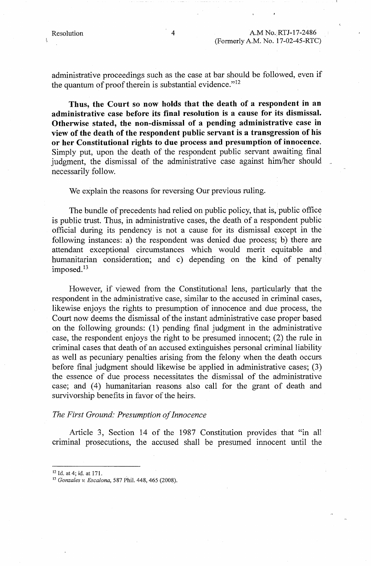administrative proceedings such as the case at bar should be followed, even if the quantum of proof therein is substantial evidence."<sup>12</sup>

**Thus, the Court so now holds that the death of a respondent in an administrative case before its final resolution is a cause for its dismissal. Otherwise stated, the non-dismissal of a pending administrative case in view of the death of the respondent public servant is a transgression of his or her Constitutional rights to due process and presumption of innocence.**  Simply put, upon the death of the respondent public servant awaiting final judgment, the dismissal of the administrative case against him/her should necessarily follow.

We explain the reasons for reversing Our previous ruling.

The bundle of precedents had relied on public policy, that is, public office is public trust. Thus, in administrative cases, the death of a respondent public official during its pendency is not a cause for its dismissal except in the following instances: a) the respondent was denied due process; b) there are attendant exceptional circumstances which would merit equitable and humanitarian consideration; and c) depending on the kind of penalty imposed.<sup>13</sup>

However, if viewed from the Constitutional lens, particularly that the respondent in the administrative case, similar to the accused in criminal cases, likewise enjoys the rights to presumption of innocence and due process, the Court now deems the dismissal of the instant administrative case proper based on the following grounds: (1) pending final judgment in the administrative case, the respondent enjoys the right to be presumed innocent; (2) the rule in criminal cases that death of an accused extinguishe; personal criminal liability as well as pecuniary penalties arising from the felony when the death occurs before final judgment should likewise be applied in administrative cases; (3) the essence of due process necessitates the dismissal of the administrative case; and (4) humanitarian reasons also call for the grant of death and survivorship benefits in favor of the heirs.

#### *The First Ground: Presumption of Innocence*

Article 3, Section 14 of the 1987 Constitution provides that "in all criminal prosecutions, the accused shall be presumed innocent until the

<sup>12</sup> Id. at 4; id. at 171. 13 *Gonzales v. Escalona,* 587 Phil. 448, 465 (2008).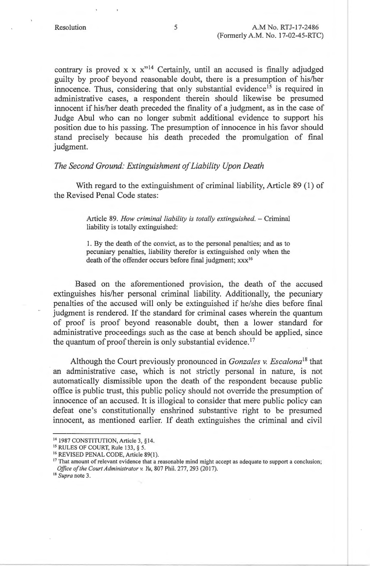contrary is proved x  $x x''$ <sup>14</sup> Certainly, until an accused is finally adjudged guilty by proof beyond reasonable doubt, there is a presumption of his/her innocence. Thus, considering that only substantial evidence<sup>15</sup> is required in administrative cases, a respondent therein should likewise be presumed innocent if his/her death preceded the finality of a judgment, as in the case of Judge Abul who can no longer submit additional evidence to support his position due to his passing. The presumption of innocence in his favor should stand precisely because his death preceded the promulgation of final judgment.

## *The Second Ground: Extinguishment of Liability Upon Death*

With regard to the extinguishment of criminal liability, Article 89 (1) of the Revised Penal Code states:

> Article 89. *How criminal liability is totally extinguished.* - Criminal liability is totally extinguished:

> 1. By the death of the convict, as to the personal penalties; and as to pecuniary penalties, liability therefor is extinguished only when the death of the offender occurs before final judgment; xxx<sup>16</sup>

Based on the aforementioned provision, the death of the accused extinguishes his/her personal criminal liability. Additionally, the pecuniary penalties of the accused will only be extinguished if he/she dies before final judgment is rendered. If the standard for criminal cases wherein the quantum of proof is proof beyond reasonable doubt, then a lower standard for administrative proceedings such as the case at bench should be applied, since the quantum of proof therein is only substantial evidence.<sup>17</sup>

Although the Court previously pronounced in *Gonzales v. Escalona*<sup>18</sup> that an administrative case, which is not strictly personal in nature, is not automatically dismissible upon the death of the respondent because public office is public trust, this public policy should not override the presumption of innocence of an accused. It is illogical to consider that mere public policy can defeat one's constitutionally enshrined substantive right to be presumed innocent, as mentioned earlier. If death extinguishes the criminal and civil

<sup>14 1987</sup> CONSTITUTION, Article 3, § 14.

<sup>&</sup>lt;sup>15</sup> RULES OF COURT, Rule 133, § 5.

<sup>&</sup>lt;sup>16</sup> REVISED PENAL CODE, Article 89(1).<br><sup>17</sup> That amount of relevant evidence that a reasonable mind might accept as adequate to support a conclusion; *Office of the Court Administrator v. Yu, 807 Phil. 277, 293 (2017).* <sup>18</sup> *Supra* note 3.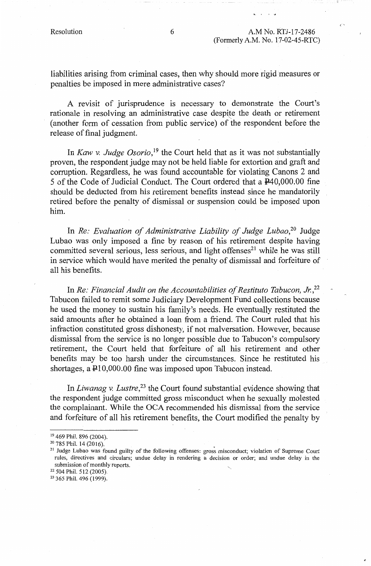C '

liabilities arising from criminal cases, then why should more rigid measures or penalties be imposed in mere administrative cases?

A revisit of jurisprudence is necessary to demonstrate the Court's rationale in resolving an administrative case despite the death or retirement ( another form of cessation from public service) of the respondent before the release of final judgment.

In *Kaw v. Judge Osorio*,<sup>19</sup> the Court held that as it was not substantially proven, the respondent judge may not be held liable for extortion and graft and corruption. Regardless, he was found accountable for violating Canons 2 and 5 of the Code of Judicial Conduct. The Court ordered that a P40,000.00 fine should be deducted from his retirement benefits instead since he mandatorily retired before the penalty of dismissal or suspension could be imposed upon him.

In *Re: Evaluation of Administrative Liability of Judge Lubao,20* Judge Lubao was only imposed a fine by reason of his retirement despite having committed several serious, less serious, and light offenses<sup>21</sup> while he was still in service which would have merited the penalty of dismissal and forfeiture of all his benefits.

In *Re: Financial Audit on the Accountabilities of Restituto Tabucon, Jr.*<sup>22</sup> Tabucon failed to remit some Judiciary Development Fund collections because he used the money to sustain his family's needs. He eventually restituted the said amounts after he obtained a loan from a friend. The Court ruled that his infraction constituted gross dishonesty, if not malversation. However, because dismissal from the service is no longer possible due to Tabucon's compulsory retirement, the Court held that forfeiture of all his retirement and other benefits may be too harsh under the circumstances. Since he restituted his shortages, a  $\text{\textsterling}10,000.00$  fine was imposed upon Tabucon instead.

In *Liwanag v. Lustre*<sup>23</sup> the Court found substantial evidence showing that the respondent judge committed gross misconduct when he sexually molested the complainant. While the OCA recommended his dismissal from the service and forfeiture of all his retirement benefits, the Court modified the penalty by

<sup>&</sup>lt;sup>19</sup> 469 Phil. 896 (2004).<br><sup>20</sup> 785 Phil. 14 (2016).

<sup>&</sup>lt;sup>21</sup> Judge Lubao was found guilty of the following offenses: gross misconduct; violation of Supreme Court rules, directives and circulars; undue delay in rendering a decision or order; and undue delay in the submission of monthly reports.<br><sup>22</sup> 504 Phil. 512 (2005).<br><sup>23</sup> 365 Phil. 496 (1999).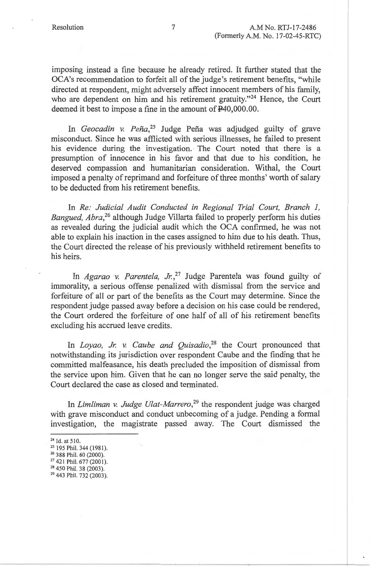imposing instead a fine because he already retired. It further stated that the OCA's recommendation to forfeit all of the judge's retirement benefits, "while directed at respondent, might adversely affect innocent members of his family, who are dependent on him and his retirement gratuity."<sup>24</sup> Hence, the Court deemed it best to impose a fine in the amount of  $\text{P40,000.00}$ .

In *Geocadin v. Pena,25* Judge Pefia was adjudged guilty of grave misconduct. Since he was afflicted with serious illnesses, he failed to present his evidence during the investigation. The Court noted that there is a presumption of innocence in his favor and that due to his condition, he deserved compassion and humanitarian consideration. Withal, the Court imposed a penalty of reprimand and forfeiture of three months' worth of salary to be deducted from his retirement benefits.

In *Re: Judicial Audit Conducted in Regional Trial Court, Branch 1, Bangued, Abra,<sup>26</sup>*although Judge Villarta failed to properly perform his duties as revealed during the judicial audit which the OCA confirmed, he was not able to explain his inaction in the cases assigned to him due to his death. Thus, the Court directed the release of his previously withheld retirement benefits to his heirs.

In *Agarao v. Parentela, Jr.*<sup>27</sup> Judge Parentela was found guilty of immorality, a serious offense penalized with dismissal from the service and forfeiture of all or part of the benefits as the Court may determine. Since the respondent judge passed away before a decision on his case could be rendered, the Court ordered the forfeiture of one half of all of his retirement benefits excluding his accrued leave credits.

In *Loyao, Jr. v. Caube and Quisadio*<sup>28</sup> the Court pronounced that notwithstanding its jurisdiction over respondent Caube and the finding that he committed malfeasance, his death precluded the imposition of dismissal from the service upon him. Given that he can no longer serve the said penalty, the Court declared the case as closed and terminated.

In *Limliman v. Judge Ulat-Marrero*,<sup>29</sup> the respondent judge was charged with grave misconduct and conduct unbecoming of a judge. Pending a formal investigation, the magistrate passed away. The Court dismissed the

<sup>&</sup>lt;sup>24</sup> Id. at 510.<br><sup>25</sup> 195 Phil. 344 (1981).<br><sup>26</sup> 388 Phil. 60 (2000).

<sup>&</sup>lt;sup>27</sup> 421 Phil. 677 (2001).<br><sup>28</sup> 450 Phil. 38 (2003).

<sup>&</sup>lt;sup>29</sup> 443 Phil. 732 (2003).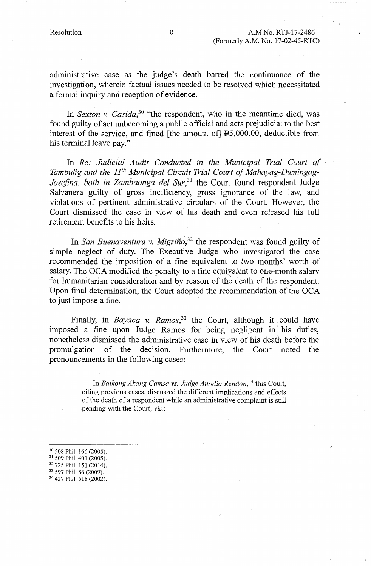administrative case as the judge's death barred the continuance of the investigation, wherein factual issues needed to be resolved which necessitated a formal inquiry and reception of evidence.

In *Sexton v. Casida*,<sup>30</sup> "the respondent, who in the meantime died, was found guilty of act unbecoming a public official and acts prejudicial to the best interest of the service, and fined [the amount of] PS,000.00, deductible from his terminal leave pay."

In *Re: Judicial Audit Conducted in the Municipal Trial Court of Tambulig and the 11th Municipal Circuit Trial Court of Mahayag-Dumingag-Josefina, both in Zambaonga de! Sur,31* the Court found respondent Judge Salvanera guilty of gross inefficiency, gross ignorance of the law, and violations of pertinent administrative circulars of the Court. However, the Court dismissed the case in view of his death and even released his full retirement benefits to his heirs.

In *San Buenaventura v. Migriño*,<sup>32</sup> the respondent was found guilty of simple neglect of duty. The Executive Judge who investigated the case recommended the imposition of a fine equivalent to two months' worth of salary. The OCA modified the penalty to a fine equiyalent to one-month salary for humanitarian consideration and by reason of the death of the respondent. Upon final determination, the Court adopted the recommendation of the OCA to just impose a fine.

Finally, in *Bayaca* v. *Ramos*<sup>33</sup> the Court, although it could have imposed a fine upon Judge Ramos for being negligent in his duties, nonetheless dismissed the administrative case in view of his death before the promulgation of the decision. Furthermore, the Court noted the pronouncements in the following cases:

> In *Baikong Akang Camsa vs. Judge Aurelio Rendon,<sup>34</sup>*this Court, citing previous cases, discussed the different implications and effects of the death of a respondent while an administrative complaint is still pending with the Court, *viz.:*

- <sup>30</sup> 508 Phil. 166 (2005).<br><sup>31</sup> 509 Phil. 401 (2005).<br><sup>32</sup> 725 Phil. 151 (2014).<br><sup>33</sup> 597 Phil. 86 (2009).<br><sup>34</sup> 427 Phil. 518 (2002).
- 
- 
- 
-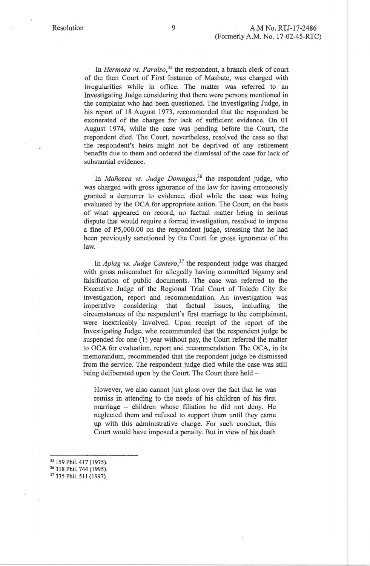In *Hermosa vs. Paraiso,35* the respondent, a branch clerk of court of the then Court of First Instance of Masbate, was charged with irregularities while in office. The matter was referred to an Investigating Judge considering that there were persons mentioned in the complaint who had been questioned. The Investigating Judge, in his report of 18 August 1973, recommended that the respondent be exonerated of the charges for lack of sufficient evidence. On 01 August 1974, while the case was pending before the Court, the respondent died. The Court, nevertheless, resolved the case so that the respondent's heirs might not be deprived of any retirement benefits due to them and ordered the dismissal of the case for lack of substantial evidence.

In *Manozca vs. Judge Domagas,<sup>36</sup>*the respondent judge, who was charged with gross ignorance of the law for having erroneously granted a demurrer to evidence, died while the case was being evaluated by the OCA for appropriate action. The Court, on the basis of what appeared on record, no factual matter being in serious dispute that would require a formal investigation, resolved to impose a fine of PS,000.00 on the respondent judge, stressing that he had been previously sanctioned by the Court for gross ignorance of the law.

In *Apiag vs. Judge Cantero*,<sup>37</sup> the respondent judge was charged with gross misconduct for allegedly having committed bigamy and falsification of public documents. The case was referred to the Executive Judge of the Regional Trial Court of Toledo City for investigation, report and recommendation. An investigation was imperative considering that factual issues, including the circumstances of the respondent's first marriage to the complainant, were inextricably involved. Upon receipt of the report of the Investigating Judge, who recommended that the respondent judge be suspended for one (1) year without pay, the Court referred the matter to OCA for evaluation, report and recommendation. The OCA, in its memorandum, recommended that the respondent judge be dismissed from the service. The respondent judge died while the case was still being deliberated upon by the Court. The Court there held -

However, we also cannot just gloss over the fact that he was remiss in attending to the needs of his children of his first marriage - children whose filiation he did not deny. He neglected them and refused to support them until they came up with this administrative charge. For such conduct, this Court would have imposed a penalty. But in view of his death

<sup>&</sup>lt;sup>35</sup> 159 Phil. 417 (1975).<br><sup>36</sup> 318 Phil. 744 (1995).<br><sup>37</sup> 335 Phil. 511 (1997).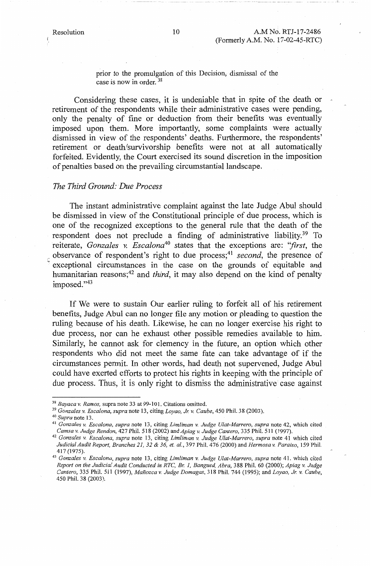prior to the promulgation of this Decision, dismissal of the case is now in order. <sup>38</sup>

Considering these cases, it is undeniable that in spite of the death or retirement of the respondents while their administrative cases were pending, only the penalty of fine or deduction from their benefits was eventually imposed upon them. More importantly, some complaints were actually dismissed in view of the respondents' deaths. Furthermore, the respondents' retirement or death/survivorship benefits were not at all automatically forfeited. Evidently, the Court exercised its sound discretion in the imposition of penalties based on the prevailing circumstantial landscape.

#### *The Third Ground: Due Process*

The instant administrative complaint against the late Judge Abul should be dismissed in view of the Constitutional principle of due process, which is one of the recognized exceptions to the general rule that the death of the respondent does not preclude a finding of administrative liability.<sup>39</sup> To reiterate, *Gonzales v. Escalona40* states that the exceptions are: *''first,* the observance of respondent's right to due process;<sup>41</sup> second, the presence of exceptional circumstances in the case on the grounds of equitable and humanitarian reasons;<sup>42</sup> and *third*, it may also depend on the kind of penalty imposed."43

If We were to sustain Our earlier ruling to forfeit all of his retirement benefits, Judge Abul can no longer file any motion or pleading to question the ruling because of his death. Likewise, he can no longer exercise his right to due process, nor can he exhaust other possible remedies available to him. Similarly, he cannot ask for clemency in the future, an option which other respondents who did not meet the same fate can take advantage of if the circumstances permit. In other words, had death not supervened, Judge Abul could have exerted efforts to protect his rights in keeping with the principle of due process. Thus, it is only right to dismiss the administrative case against

<sup>&</sup>lt;sup>38</sup> Bayaca v. Ramos, supra note 33 at 99-101. Citations omitted.<br><sup>39</sup> Gonzales v. Escalona, supra note 13, citing Loyao, Jr. v. Caube, 450 Phil. 38 (2003).<br><sup>40</sup> Supra note 13.<br><sup>41</sup> Gonzales v. Escalona, supra note 13, ci

<sup>&</sup>lt;sup>42</sup> Gonzales v. Escalona, supra note 13, citing Limliman v. Judge Ulat-Marrero, supra note 41 which cited *Judicial Audit Report, Branches 21, 32 & 36, et. al.,* 397 Phil. 476 (2000) and *Hermosa v. Paraiso,* 159 Phil. 417(1975).

<sup>43</sup>*Gonzales v. Escalona, supra* note 13, citing *Limliman v. Judge Ulat-Marrero, supra* note 41. which cited *Report on the Judicial Audit Conducted in RTC, Br. I, Bangued, Abra,* 388 Phil. 60 (2000); *Apiag v. Judge Cantero,* 335 Phil. 511 (1997), *Manozca v. Judge Domagas,* 318 Phil. 744 (1995); and *Loyao, Jr. v. Caube,*  450 Phil. 38 (2003).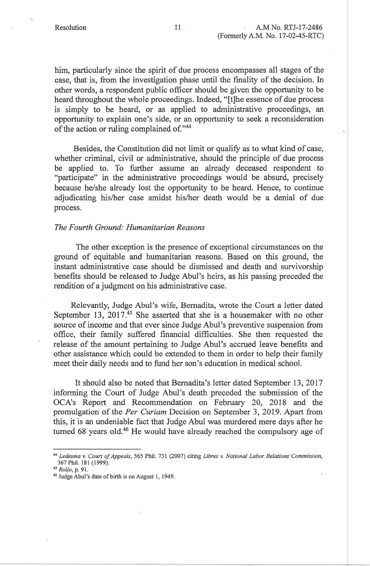him, particularly since the spirit of due process encompasses all stages of the case, that is, from the investigation phase until the finality of the decision. In other words, a respondent public officer should be given the opportunity to be heard throughout the whole proceedings. Indeed, "[t]he essence of due process is simply to be heard, or as applied to administrative proceedings, an opportunity to explain one's side, or an opportunity to seek a reconsideration of the action or ruling complained of."44

Besides, the Constitution did not limit or qualify as to what kind of case, whether criminal, civil or administrative, should the principle of due process be applied to. To further assume an already deceased respondent to "participate" in the administrative proceedings would be absurd, precisely because he/she already lost the opportunity to be heard. Hence, to continue adjudicating his/her case amidst his/her death would be a denial of due process.

# *The Fourth Ground: Humanitarian Reasons*

The other exception is the presence of exceptional circumstances on the ground of equitable and humanitarian reasons. Based on this ground, the instant administrative case should be dismissed and death and survivorship benefits should be released to Judge Abul's heirs, as his passing preceded the rendition of a judgment on his administrative case.

Relevantly, Judge Abul 's wife, Bernadita, wrote the Court a letter dated September 13, 2017.<sup>45</sup> She asserted that she is a housemaker with no other source of income and that ever since Judge Abul 's preventive suspension from office, their family suffered financial difficulties. She then requested the release of the amount pertaining to Judge Abul's accrued leave benefits and other assistance which could be extended to them in order to help their family meet their daily needs and to fund her son's education in medical school.

It should also be noted that Bemadita's letter dated September 13, 2017 informing the Court of Judge Abul 's death preceded the submission of the OCA's Report and Recommendation on February 20, 2018 and the promulgation of the *Per Curiam* Decision on September 3, 2019. Apart from this, it is an undeniable fact that Judge Abul was murdered mere days after he turned 68 years old.<sup>46</sup> He would have already reached the compulsory age of

<sup>44</sup>*Ledesma v. Court of Appeals,* 565 Phil. 731 (2007) citing *Libres v. National Labor Relations Commission,*  367 Phil. 181 (1999).<br><sup>45</sup> Rollo, p. 91.

<sup>&</sup>lt;sup>46</sup> Judge Abul's date of birth is on August 1, 1949.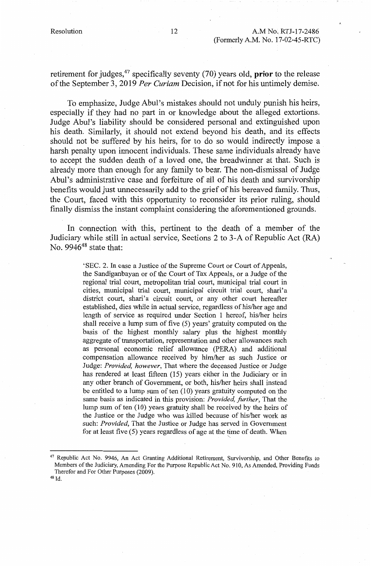retirement for judges,47 specifically seventy (70) years old, **prior** to the release of the September 3, 2019 *Per Curiam* Decision, if npt for his untimely demise.

To emphasize, Judge Abul's mistakes should not unduly punish his heirs, especially if they had no part in or knowledge about the alleged extortions. Judge Abul's liability should be considered personal and extinguished upon his death. Similarly, it should not extend beyond his death, and its effects should not be suffered by his heirs, for to do so would indirectly impose a harsh penalty upon innocent individuals. These same individuals already have to accept the sudden death of a loved one, the breadwinner at that. Such is already more than enough for any family to bear. The non-dismissal of Judge Abul's administrative case and forfeiture of all of his death and survivorship benefits would just unnecessarily add to the grief of his bereaved family. Thus, the Court, faced with this opportunity to reconsider its prior ruling, should finally dismiss the instant complaint considering the aforementioned grounds.

In connection with this, pertinent to the death of a member of the Judiciary while still in actual service, Sections 2 to 3-A of Republic Act (RA) No.  $9946^{48}$  state that:

> 'SEC. 2. In case a Justice of the Supreme Court or Court of Appeals, the Sandiganbayan or of the Court of Tax Appeals, or a Judge of the regional trial court, metropolitan trial court, municipal trial court in cities, municipal trial court, municipal circuit trial court, shari'a district court, shari'a circuit court, or any other court hereafter established, dies while in actual service, regardless of his/her age and length of service as required under Section 1 hereof, his/her heirs shall receive a lump sum of five (5) years' gratuity computed on the basis of the highest monthly salary plus the highest monthly aggregate of transportation, representation and other allowances such as personal economic relief allowance (PERA) and additional compensation allowance received by him/her as such Justice or Judge: *Provided, however,* That where the deceased Justice or Judge has rendered at least fifteen (15) years either in the Judiciary or in any other branch of Government, or both, his/her heirs shall instead be entitled to a lump sum of ten (10) years gratuity computed on the same basis as indicated in this provision: *Provided, further,* That the lump sum of ten (10) years gratuity shall be received by the heirs of the Justice or the Judge who was killed because of his/her work as such: *Provided,* That the Justice or Judge has served in Government for at least five  $(5)$  years regardless of age at the time of death. When

4s Id.

<sup>&</sup>lt;sup>47</sup> Republic Act No. 9946, An Act Granting Additional Retirement, Survivorship, and Other Benefits to Members of the Judiciary, Amending For the Purpose Republic Act No. 910, As Amended, Providing Funds Therefor and For Other Purposes (2009).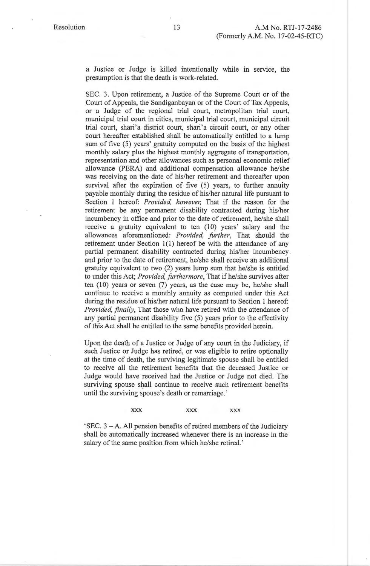a Justice or Judge is killed intentionally while in service, the presumption is that the death is work-related.

SEC. 3. Upon retirement, a Justice of the Supreme Court or of the Court of Appeals, the Sandiganbayan or of the Court of Tax Appeals, or a Judge of the regional trial court, metropolitan trial court, municipal trial court in cities, municipal trial court, municipal circuit trial court, shari'a district court, shari'a circuit court, or any other court hereafter established shall be automatically entitled to a lump sum of five (5) years' gratuity computed on the basis of the highest monthly salary plus the highest monthly aggregate of transportation, representation and other allowances such as personal economic relief allowance (PERA) and additional compensation allowance he/she was receiving on the date of his/her retirement and thereafter upon survival after the expiration of five (5) years, to further annuity payable monthly during the residue of his/her natural life pursuant to Section 1 hereof: *Provided, however*, That if the reason for the retirement be any permanent disability contracted during his/her incumbency in office and prior to the date of retirement, he/she shall receive a gratuity equivalent to ten (10) years' salary and the allowances aforementioned: *Provided, further,* That should the retirement under Section 1(1) hereof be with the attendance of any partial permanent disability contracted during his/her incumbency and prior to the date of retirement, he/she shall receive an additional gratuity equivalent to two (2) years lump sum that he/she is entitled to under this Act; *Provided, furthermore ,* That if he/she survives after ten (10) years or seven (7) years, as the case may be, he/she shall continue to receive a monthly annuity as computed under this Act during the residue of his/her natural life pursuant to Section 1 hereof: *Provided, finally,* That those who have retired with the attendance of any partial permanent disability five (5) years prior to the effectivity of this Act shall be entitled to the same benefits provided herein.

Upon the death of a Justice or Judge of any court in the Judiciary, if such Justice or Judge has retired, or was eligible to retire optionally at the time of death, the surviving legitimate spouse shall be entitled to receive all the retirement benefits that the deceased Justice or Judge would have received had the Justice or Judge not died. The surviving spouse shall continue to receive such retirement benefits until the surviving spouse's death or remarriage.'

**XXX XXX XXX** 

 ${}^{\circ}$ SEC. 3 – A. All pension benefits of retired members of the Judiciary shall be automatically increased whenever there is an increase in the salary of the same position from which he/she retired.'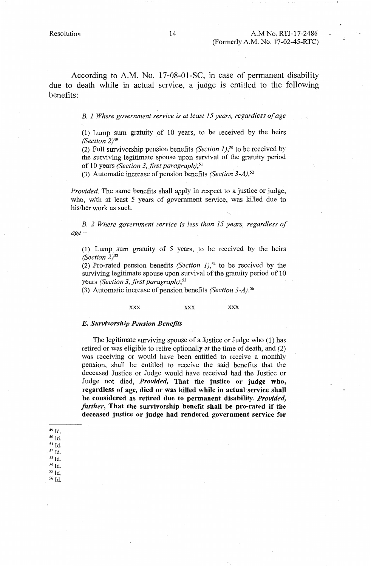According to A.M. No. 17-08-01-SC, in case of permanent disability due to death while in actual service, a judge is entitled to the following benefits:

*B. 1 Where government service is at least 15 years, regardless of age* 

(1) Lump sum gratuity of 10 years, to be received by the heirs *(Section 2)49* 

(2) Full survivorship pension benefits *(Section 1), <sup>50</sup>*to be received by the surviving legitimate spouse upon survival of the gratuity period of 10 years *(Section 3, first paragraph};*<sup>51</sup>

(3) Automatic increase of pension benefits *(Section* 3-A). <sup>52</sup>

*Provided,* The same benefits shall apply in respect to a justice or judge, who, with at least 5 years of government service, was killed due to his/her work as such.

*B. 2 Where government service is less than 15 years, regardless of age-*

(1) Lump sum gratuity of 5 years, to be received by the heirs *(Section 2)53* 

(2) Pro-rated pension benefits *(Section 1),54* to be received by the surviving legitimate spouse upon survival of the gratuity period of 10 years *(Section 3, first paragraph); <sup>55</sup>*

(3) Automatic increase of pension benefits *(Section* 3-A}. *<sup>56</sup>*

#### **XXX XXX XXX**

#### *E. Survivorship Pension Benefits*

The legitimate surviving spouse of a Justice or Judge who (1) has retired or was eligible to retire optionally at the time of death, and (2) was receiving or would have been entitled to receive a monthly pension, shall be entitled to receive the said benefits that the deceased Justice or Judge would have received had the Justice or Judge not died, *Provided,* **That the justice or judge who, regardless of age, died or was killed while in actual service shall be considered as retired due to permanent disability.** *Provided, further,* **That the survivorship benefit shall be pro-rated if the deceased justice or judge had rendered government service for** 

- 50 Id.
- 51 Id. s2 Id.
- 53 Id.
- 54 Id.
- 55 Id.
- 56 Id.

<sup>49</sup> Id.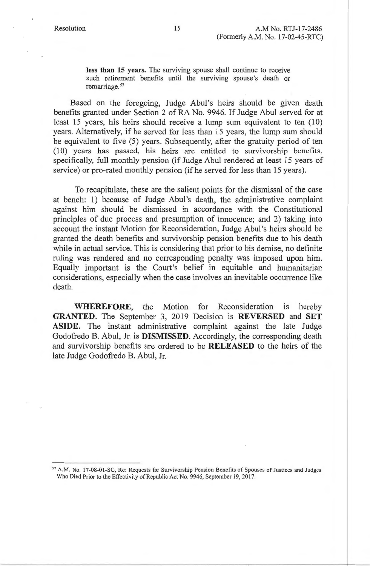**less than 15 years.** The surviving spouse shall continue to receive such retirement benefits until the surviving spouse's death or remarriage. 57

Based on the foregoing, Judge Abul's heirs should be given death benefits granted under Section 2 of RA No. 9946. If Judge Abul served for at least 15 years, his heirs should receive a lump sum equivalent to ten (10) years. Alternatively, if he served for less than 15 years, the lump sum should be equivalent to five (5) years. Subsequently, after the gratuity period of ten (10) years has passed, his heirs are entitled to survivorship benefits, specifically, full monthly pension (if Judge Abul rendered at least 15 years of service) or pro-rated monthly pension (if he served for less than 15 years).

To recapitulate, these are the salient points for the dismissal of the case at bench: 1) because of Judge Abul's death, the administrative complaint against him should be dismissed in accordance with the Constitutional principles of due process and presumption of innocence; and 2) taking into account the instant Motion for Reconsideration, Judge Abul's heirs should be granted the death benefits and survivorship pension benefits due to his death while in actual service. This is considering that prior to his demise, no definite ruling was rendered and no corresponding penalty was imposed upon him. Equally important is the Court's belief in equitable and humanitarian considerations, especially when the case involves an inevitable occurrence like death.

**WHEREFORE,** the Motion for Reconsideration is hereby **GRANTED.** The September 3, 2019 Decision is **REVERSED** and **SET ASIDE.** The instant administrative complaint against the late Judge Godofredo B. Abul, Jr. is **DISMISSED.** Accordingly, the corresponding death and survivorship benefits are ordered to be **RELEASED** to the heirs of the late Judge Godofredo B. Abul, Jr.

<sup>57</sup> A.M. No. 17-08-01-SC, Re: Requests for Survivorship Pension Benefits of Spouses of Justices and Judges Who Died Prior to the Effectivity of Republic Act No. 9946, September 19, 2017.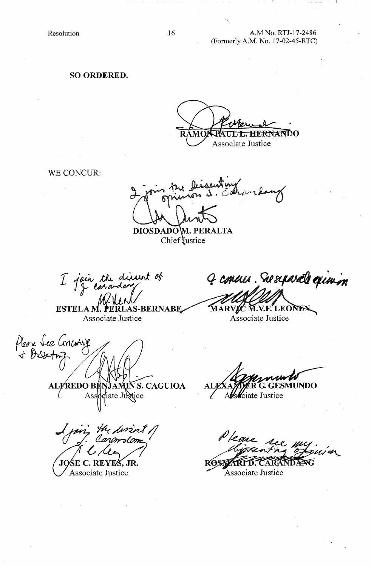Resolution 16

### A.M No. RTJ-17-2486 (Formerly A.M. No. 17-02-45-RTC)

**SO ORDERED.** 

L. HERNANDO Associate Justice

WE CONCUR:

**DIOSDADOM. PERALTA** Chief *lustice* 

I join the discurt of

ESTELA M. PERLAS-BERNABE Associate Justice

Please See Concurring<br>+ Desserting **ALFREDO BI VS. CAGUIOA** 

Associate Justice

JQŚE C. REYE<del>S</del>, JR. Associate Justice

4 concur. Su syarals epimon

MARVIC M.V.F. LEONER Associate Justice

**TUNDO** 

Alsociate Justice

ROSTARTT. **CARANDANG** 

Associate Justice